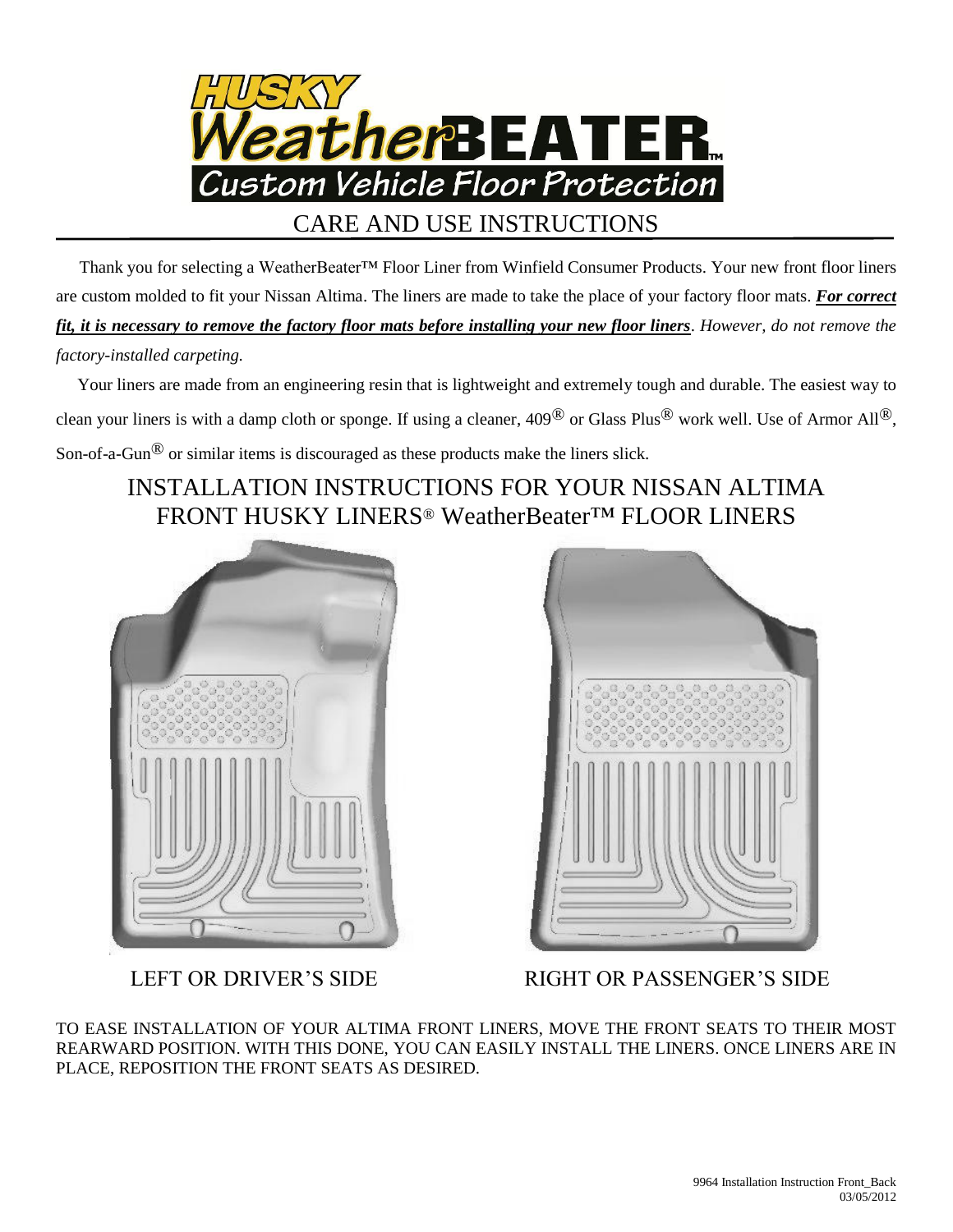

 Thank you for selecting a WeatherBeater™ Floor Liner from Winfield Consumer Products. Your new front floor liners are custom molded to fit your Nissan Altima. The liners are made to take the place of your factory floor mats. *For correct fit, it is necessary to remove the factory floor mats before installing your new floor liners*. *However, do not remove the factory-installed carpeting.*

 Your liners are made from an engineering resin that is lightweight and extremely tough and durable. The easiest way to clean your liners is with a damp cloth or sponge. If using a cleaner,  $409^{\circledR}$  or Glass Plus<sup>®</sup> work well. Use of Armor All<sup>®</sup>, Son-of-a-Gun® or similar items is discouraged as these products make the liners slick.

## INSTALLATION INSTRUCTIONS FOR YOUR NISSAN ALTIMA FRONT HUSKY LINERS® WeatherBeater™ FLOOR LINERS





LEFT OR DRIVER'S SIDE RIGHT OR PASSENGER'S SIDE

TO EASE INSTALLATION OF YOUR ALTIMA FRONT LINERS, MOVE THE FRONT SEATS TO THEIR MOST REARWARD POSITION. WITH THIS DONE, YOU CAN EASILY INSTALL THE LINERS. ONCE LINERS ARE IN PLACE, REPOSITION THE FRONT SEATS AS DESIRED.